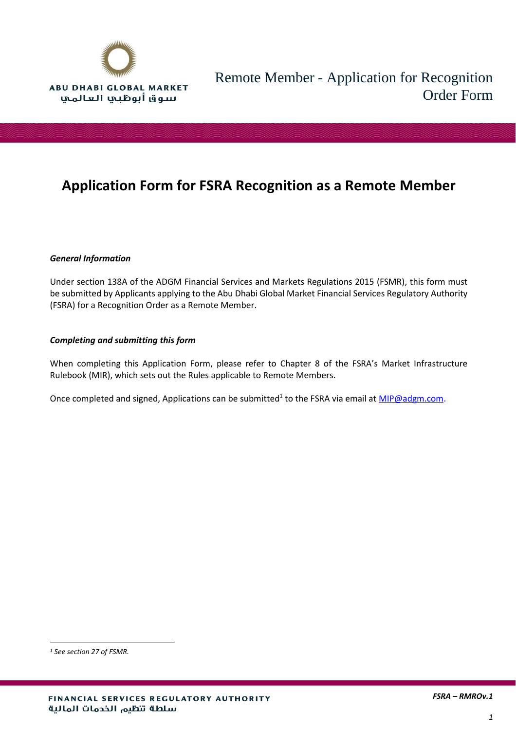

### **Application Form for FSRA Recognition as a Remote Member**

### *General Information*

Under section 138A of the ADGM Financial Services and Markets Regulations 2015 (FSMR), this form must be submitted by Applicants applying to the Abu Dhabi Global Market Financial Services Regulatory Authority (FSRA) for a Recognition Order as a Remote Member.

### *Completing and submitting this form*

When completing this Application Form, please refer to Chapter 8 of the FSRA's Market Infrastructure Rulebook (MIR), which sets out the Rules applicable to Remote Members.

Once completed and signed, Applications can be submitted<sup>1</sup> to the FSRA via email at *MIP@adgm.com*.

 $\overline{a}$ 

*<sup>1</sup> See section 27 of FSMR.*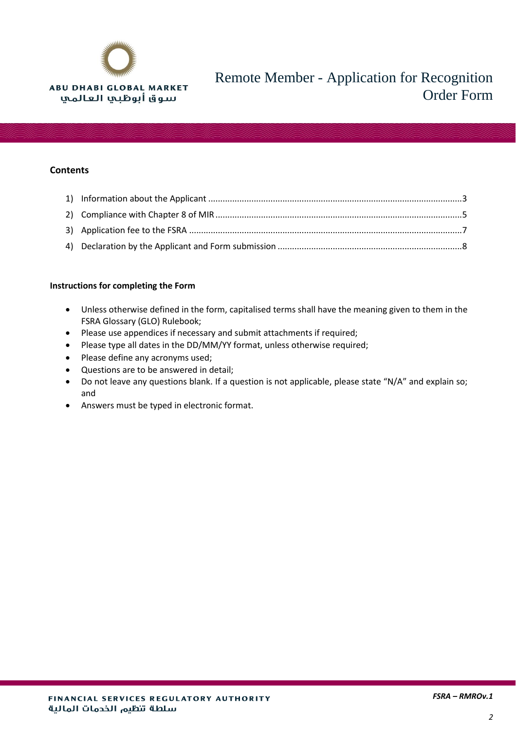

### **Contents**

### **Instructions for completing the Form**

- Unless otherwise defined in the form, capitalised terms shall have the meaning given to them in the FSRA Glossary (GLO) Rulebook;
- Please use appendices if necessary and submit attachments if required;
- Please type all dates in the DD/MM/YY format, unless otherwise required;
- Please define any acronyms used;
- Questions are to be answered in detail;
- Do not leave any questions blank. If a question is not applicable, please state "N/A" and explain so; and
- Answers must be typed in electronic format.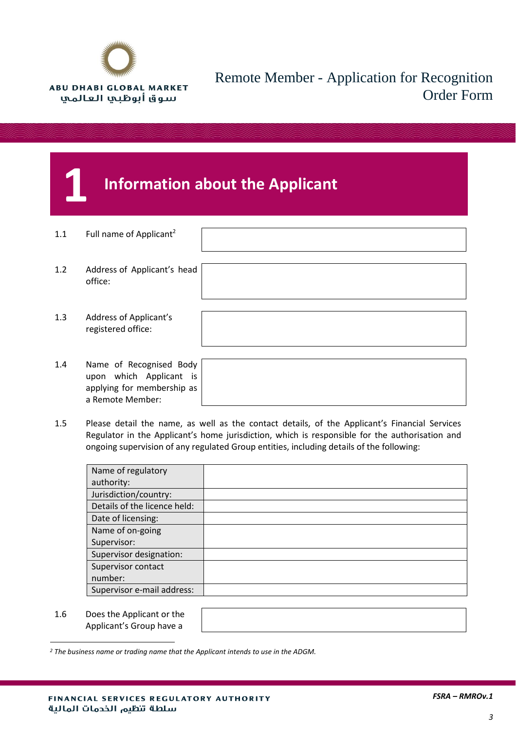

## <span id="page-2-0"></span>**1 Information about the Applicant**

- 1.1 Full name of Applicant<sup>2</sup>
- 1.2 Address of Applicant's head office:
- 1.3 Address of Applicant's registered office:
- 1.4 Name of Recognised Body upon which Applicant is applying for membership as a Remote Member:

1.5 Please detail the name, as well as the contact details, of the Applicant's Financial Services Regulator in the Applicant's home jurisdiction, which is responsible for the authorisation and ongoing supervision of any regulated Group entities, including details of the following:

| Name of regulatory           |  |
|------------------------------|--|
| authority:                   |  |
| Jurisdiction/country:        |  |
| Details of the licence held: |  |
| Date of licensing:           |  |
| Name of on-going             |  |
| Supervisor:                  |  |
| Supervisor designation:      |  |
| Supervisor contact           |  |
| number:                      |  |
| Supervisor e-mail address:   |  |
|                              |  |

1.6 Does the Applicant or the Applicant's Group have a

 $\overline{a}$ 

*<sup>2</sup> The business name or trading name that the Applicant intends to use in the ADGM.*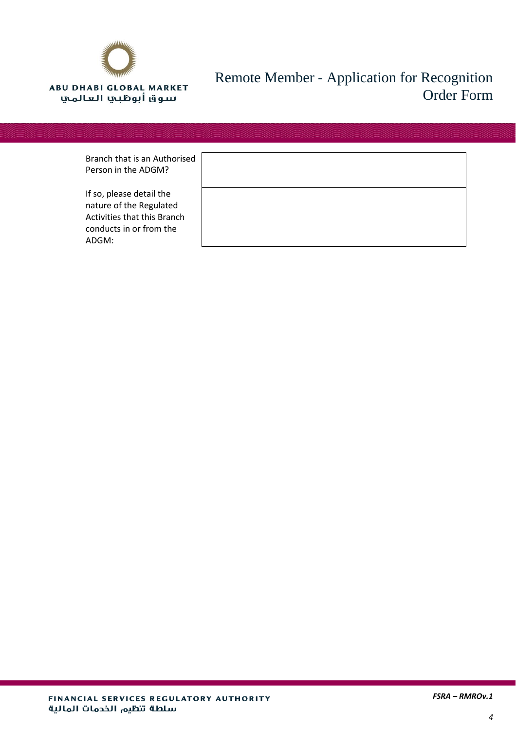

| Branch that is an Authorised |  |
|------------------------------|--|
| Person in the ADGM?          |  |

If so, please detail the nature of the Regulated Activities that this Bran conducts in or from the ADGM:

| i iseu |  |  |  |
|--------|--|--|--|
| ch     |  |  |  |
|        |  |  |  |

٦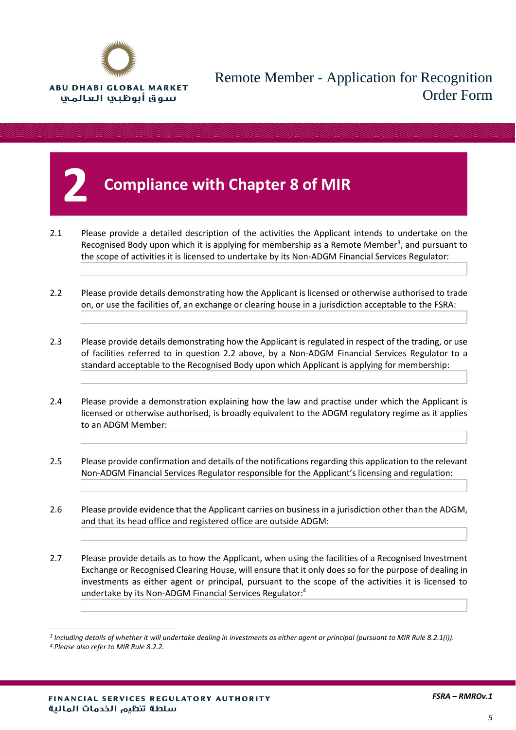

## <span id="page-4-0"></span>**2 Compliance with Chapter 8 of MIR**

- 2.1 Please provide a detailed description of the activities the Applicant intends to undertake on the Recognised Body upon which it is applying for membership as a Remote Member<sup>3</sup>, and pursuant to the scope of activities it is licensed to undertake by its Non-ADGM Financial Services Regulator:
- 2.2 Please provide details demonstrating how the Applicant is licensed or otherwise authorised to trade on, or use the facilities of, an exchange or clearing house in a jurisdiction acceptable to the FSRA:
- 2.3 Please provide details demonstrating how the Applicant is regulated in respect of the trading, or use of facilities referred to in question 2.2 above, by a Non-ADGM Financial Services Regulator to a standard acceptable to the Recognised Body upon which Applicant is applying for membership:
- 2.4 Please provide a demonstration explaining how the law and practise under which the Applicant is licensed or otherwise authorised, is broadly equivalent to the ADGM regulatory regime as it applies to an ADGM Member:
- 2.5 Please provide confirmation and details of the notifications regarding this application to the relevant Non-ADGM Financial Services Regulator responsible for the Applicant's licensing and regulation:
- 2.6 Please provide evidence that the Applicant carries on business in a jurisdiction other than the ADGM, and that its head office and registered office are outside ADGM:

2.7 Please provide details as to how the Applicant, when using the facilities of a Recognised Investment Exchange or Recognised Clearing House, will ensure that it only does so for the purpose of dealing in investments as either agent or principal, pursuant to the scope of the activities it is licensed to undertake by its Non-ADGM Financial Services Regulator: 4

 $\overline{a}$ 

*<sup>3</sup> Including details of whether it will undertake dealing in investments as either agent or principal (pursuant to MIR Rule 8.2.1(i)).*

*<sup>4</sup> Please also refer to MIR Rule 8.2.2.*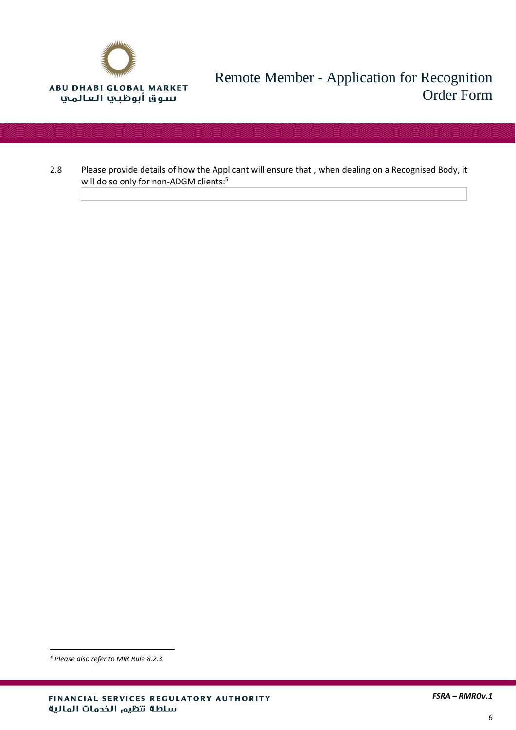

2.8 Please provide details of how the Applicant will ensure that , when dealing on a Recognised Body, it will do so only for non-ADGM clients: 5

l

*<sup>5</sup> Please also refer to MIR Rule 8.2.3.*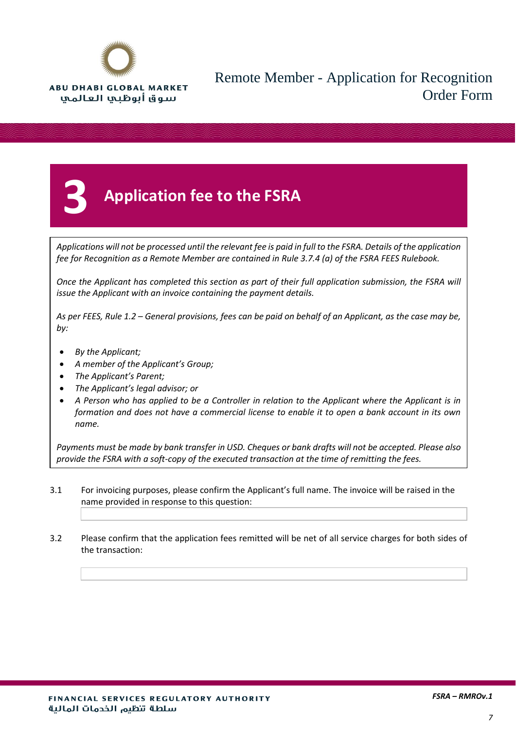

# <span id="page-6-0"></span>**3 Application fee to the FSRA**

*Applications will not be processed until the relevant fee is paid in full to the FSRA. Details of the application fee for Recognition as a Remote Member are contained in Rule 3.7.4 (a) of the FSRA FEES Rulebook.*

*Once the Applicant has completed this section as part of their full application submission, the FSRA will issue the Applicant with an invoice containing the payment details.*

*As per FEES, Rule 1.2 – General provisions, fees can be paid on behalf of an Applicant, as the case may be, by:*

- *By the Applicant;*
- *A member of the Applicant's Group;*
- *The Applicant's Parent;*
- *The Applicant's legal advisor; or*
- *A Person who has applied to be a Controller in relation to the Applicant where the Applicant is in formation and does not have a commercial license to enable it to open a bank account in its own name.*

*Payments must be made by bank transfer in USD. Cheques or bank drafts will not be accepted. Please also provide the FSRA with a soft-copy of the executed transaction at the time of remitting the fees.*

- 3.1 For invoicing purposes, please confirm the Applicant's full name. The invoice will be raised in the name provided in response to this question:
- 3.2 Please confirm that the application fees remitted will be net of all service charges for both sides of the transaction: